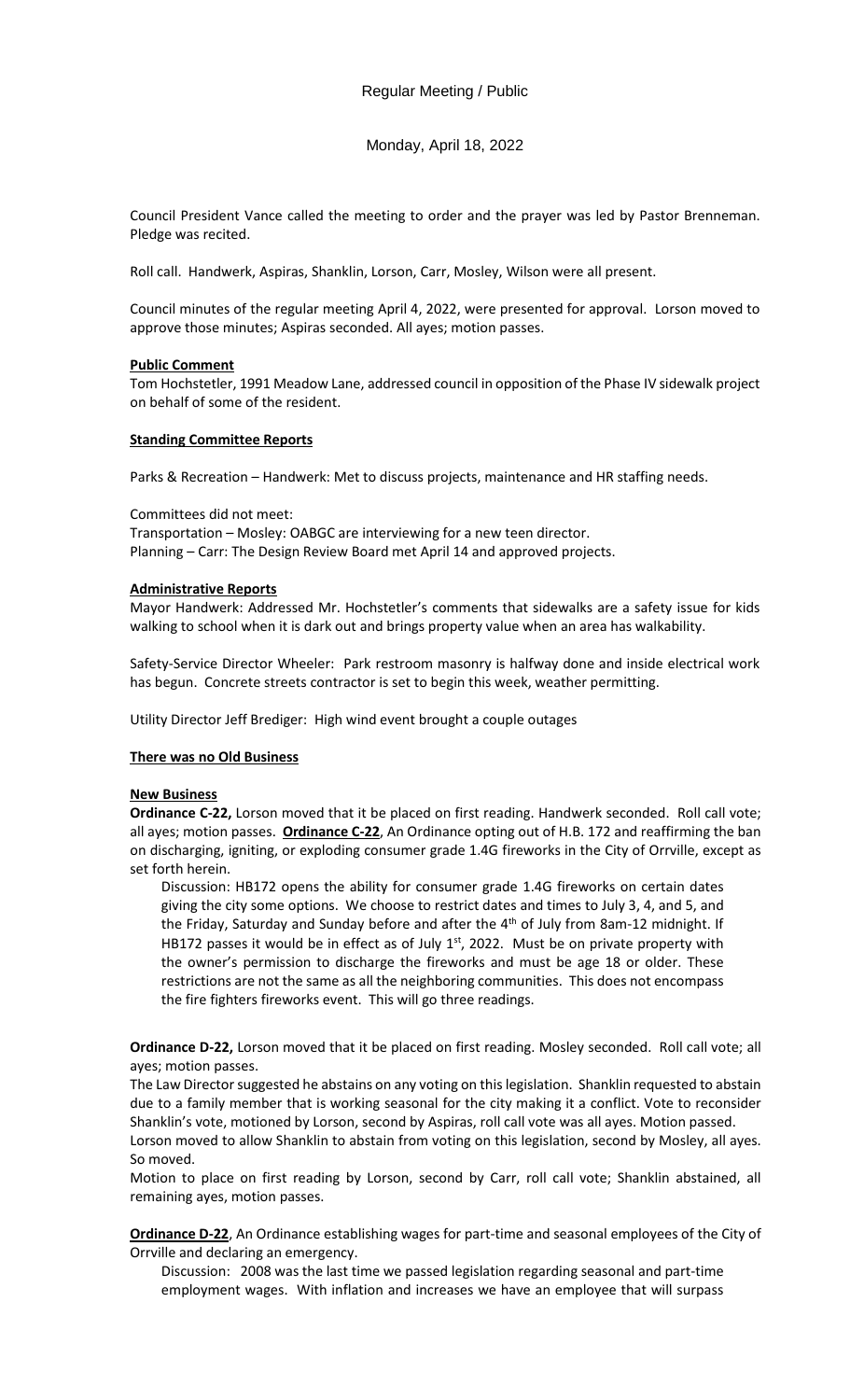Monday, April 18, 2022

Council President Vance called the meeting to order and the prayer was led by Pastor Brenneman. Pledge was recited.

Roll call. Handwerk, Aspiras, Shanklin, Lorson, Carr, Mosley, Wilson were all present.

Council minutes of the regular meeting April 4, 2022, were presented for approval. Lorson moved to approve those minutes; Aspiras seconded. All ayes; motion passes.

# **Public Comment**

Tom Hochstetler, 1991 Meadow Lane, addressed council in opposition of the Phase IV sidewalk project on behalf of some of the resident.

# **Standing Committee Reports**

Parks & Recreation – Handwerk: Met to discuss projects, maintenance and HR staffing needs.

Committees did not meet:

Transportation – Mosley: OABGC are interviewing for a new teen director. Planning – Carr: The Design Review Board met April 14 and approved projects.

# **Administrative Reports**

Mayor Handwerk: Addressed Mr. Hochstetler's comments that sidewalks are a safety issue for kids walking to school when it is dark out and brings property value when an area has walkability.

Safety-Service Director Wheeler: Park restroom masonry is halfway done and inside electrical work has begun. Concrete streets contractor is set to begin this week, weather permitting.

Utility Director Jeff Brediger: High wind event brought a couple outages

# **There was no Old Business**

# **New Business**

**Ordinance C-22,** Lorson moved that it be placed on first reading. Handwerk seconded. Roll call vote; all ayes; motion passes. **Ordinance C-22**, An Ordinance opting out of H.B. 172 and reaffirming the ban on discharging, igniting, or exploding consumer grade 1.4G fireworks in the City of Orrville, except as set forth herein.

Discussion: HB172 opens the ability for consumer grade 1.4G fireworks on certain dates giving the city some options. We choose to restrict dates and times to July 3, 4, and 5, and the Friday, Saturday and Sunday before and after the  $4<sup>th</sup>$  of July from 8am-12 midnight. If HB172 passes it would be in effect as of July  $1<sup>st</sup>$ , 2022. Must be on private property with the owner's permission to discharge the fireworks and must be age 18 or older. These restrictions are not the same as all the neighboring communities. This does not encompass the fire fighters fireworks event. This will go three readings.

**Ordinance D-22,** Lorson moved that it be placed on first reading. Mosley seconded. Roll call vote; all ayes; motion passes.

The Law Director suggested he abstains on any voting on this legislation. Shanklin requested to abstain due to a family member that is working seasonal for the city making it a conflict. Vote to reconsider Shanklin's vote, motioned by Lorson, second by Aspiras, roll call vote was all ayes. Motion passed.

Lorson moved to allow Shanklin to abstain from voting on this legislation, second by Mosley, all ayes. So moved.

Motion to place on first reading by Lorson, second by Carr, roll call vote; Shanklin abstained, all remaining ayes, motion passes.

**Ordinance D-22**, An Ordinance establishing wages for part-time and seasonal employees of the City of Orrville and declaring an emergency.

Discussion: 2008 was the last time we passed legislation regarding seasonal and part-time employment wages. With inflation and increases we have an employee that will surpass